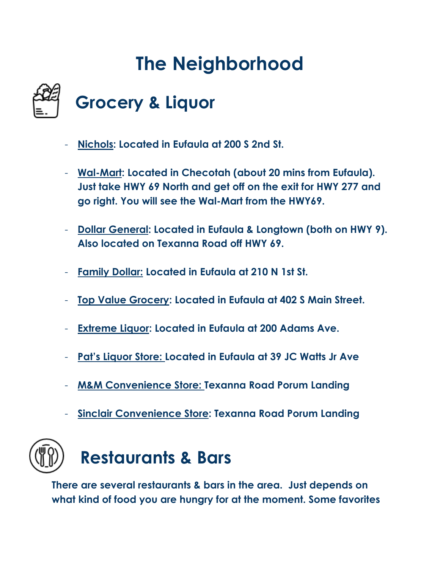# **The Neighborhood**



#### **Grocery & Liquor**

- **Nichols: Located in Eufaula at 200 S 2nd St.**
- **Wal-Mart: Located in Checotah (about 20 mins from Eufaula). Just take HWY 69 North and get off on the exit for HWY 277 and go right. You will see the Wal-Mart from the HWY69.**
- **Dollar General: Located in Eufaula & Longtown (both on HWY 9). Also located on Texanna Road off HWY 69.**
- **Family Dollar: Located in Eufaula at 210 N 1st St.**
- **Top Value Grocery: Located in Eufaula at 402 S Main Street.**
- **Extreme Liquor: Located in Eufaula at 200 Adams Ave.**
- **Pat's Liquor Store: Located in Eufaula at 39 JC Watts Jr Ave**
- **M&M Convenience Store: Texanna Road Porum Landing**
- **Sinclair Convenience Store: Texanna Road Porum Landing**



**There are several restaurants & bars in the area. Just depends on what kind of food you are hungry for at the moment. Some favorites**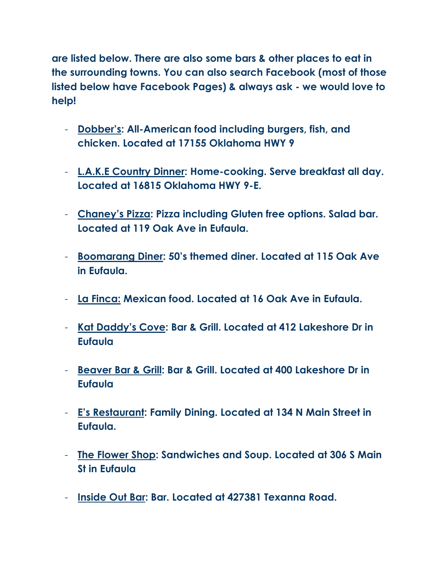**are listed below. There are also some bars & other places to eat in the surrounding towns. You can also search Facebook (most of those listed below have Facebook Pages) & always ask - we would love to help!**

- **Dobber's: All-American food including burgers, fish, and chicken. Located at 17155 Oklahoma HWY 9**
- **L.A.K.E Country Dinner: Home-cooking. Serve breakfast all day. Located at 16815 Oklahoma HWY 9-E.**
- **Chaney's Pizza: Pizza including Gluten free options. Salad bar. Located at 119 Oak Ave in Eufaula.**
- **Boomarang Diner: 50's themed diner. Located at 115 Oak Ave in Eufaula.**
- **La Finca: Mexican food. Located at 16 Oak Ave in Eufaula.**
- **Kat Daddy's Cove: Bar & Grill. Located at 412 Lakeshore Dr in Eufaula**
- **Beaver Bar & Grill: Bar & Grill. Located at 400 Lakeshore Dr in Eufaula**
- **E's Restaurant: Family Dining. Located at 134 N Main Street in Eufaula.**
- **The Flower Shop: Sandwiches and Soup. Located at 306 S Main St in Eufaula**
- **Inside Out Bar: Bar. Located at 427381 Texanna Road.**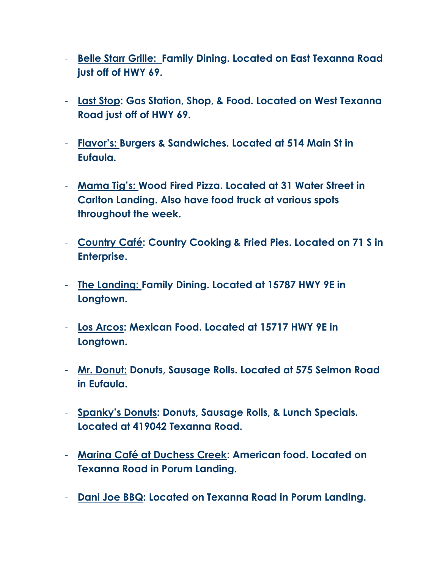- **Belle Starr Grille: Family Dining. Located on East Texanna Road just off of HWY 69.**
- **Last Stop: Gas Station, Shop, & Food. Located on West Texanna Road just off of HWY 69.**
- **Flavor's: Burgers & Sandwiches. Located at 514 Main St in Eufaula.**
- **Mama Tig's: Wood Fired Pizza. Located at 31 Water Street in Carlton Landing. Also have food truck at various spots throughout the week.**
- **Country Café: Country Cooking & Fried Pies. Located on 71 S in Enterprise.**
- **The Landing: Family Dining. Located at 15787 HWY 9E in Longtown.**
- **Los Arcos: Mexican Food. Located at 15717 HWY 9E in Longtown.**
- **Mr. Donut: Donuts, Sausage Rolls. Located at 575 Selmon Road in Eufaula.**
- **Spanky's Donuts: Donuts, Sausage Rolls, & Lunch Specials. Located at 419042 Texanna Road.**
- **Marina Café at Duchess Creek: American food. Located on Texanna Road in Porum Landing.**
- **Dani Joe BBQ: Located on Texanna Road in Porum Landing.**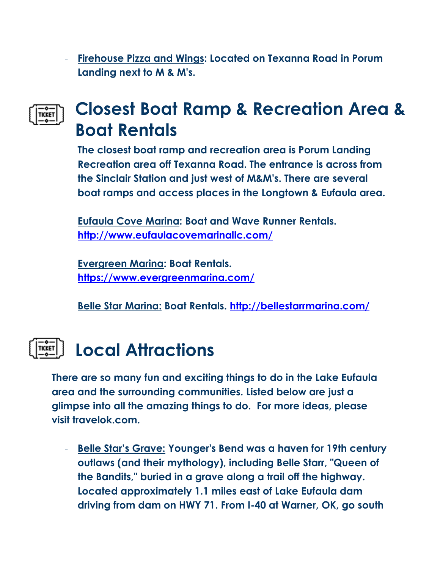- **Firehouse Pizza and Wings: Located on Texanna Road in Porum Landing next to M & M's.** 

#### **Closest Boat Ramp & Recreation Area &**  TICKET **Boat Rentals**

**The closest boat ramp and recreation area is Porum Landing Recreation area off Texanna Road. The entrance is across from the Sinclair Station and just west of M&M's. There are several boat ramps and access places in the Longtown & Eufaula area.**

**Eufaula Cove Marina: Boat and Wave Runner Rentals. <http://www.eufaulacovemarinallc.com/>**

**Evergreen Marina: Boat Rentals. <https://www.evergreenmarina.com/>**

**Belle Star Marina: Boat Rentals.<http://bellestarrmarina.com/>**

### **Local Attractions**

**There are so many fun and exciting things to do in the Lake Eufaula area and the surrounding communities. Listed below are just a glimpse into all the amazing things to do. For more ideas, please visit travelok.com.**

- **Belle Star's Grave: Younger's Bend was a haven for 19th century outlaws (and their mythology), including Belle Starr, "Queen of the Bandits," buried in a grave along a trail off the highway. Located approximately 1.1 miles east of Lake Eufaula dam driving from dam on HWY 71. From I-40 at Warner, OK, go south**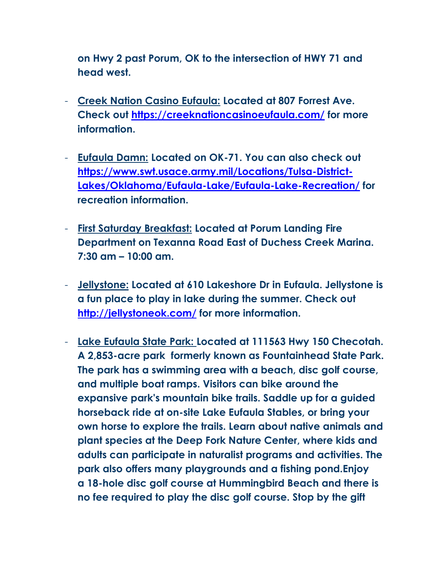**on Hwy 2 past Porum, OK to the intersection of HWY 71 and head west.**

- **Creek Nation Casino Eufaula: Located at 807 Forrest Ave. Check out<https://creeknationcasinoeufaula.com/> for more information.**
- **Eufaula Damn: Located on OK-71. You can also check out [https://www.swt.usace.army.mil/Locations/Tulsa-District-](https://www.swt.usace.army.mil/Locations/Tulsa-District-Lakes/Oklahoma/Eufaula-Lake/Eufaula-Lake-Recreation/)[Lakes/Oklahoma/Eufaula-Lake/Eufaula-Lake-Recreation/](https://www.swt.usace.army.mil/Locations/Tulsa-District-Lakes/Oklahoma/Eufaula-Lake/Eufaula-Lake-Recreation/) for recreation information.**
- **First Saturday Breakfast: Located at Porum Landing Fire Department on Texanna Road East of Duchess Creek Marina. 7:30 am – 10:00 am.**
- **Jellystone: Located at 610 Lakeshore Dr in Eufaula. Jellystone is a fun place to play in lake during the summer. Check out <http://jellystoneok.com/> for more information.**
- **Lake Eufaula State Park: Located at 111563 Hwy 150 Checotah. A 2,853-acre park formerly known as Fountainhead State Park. The park has a swimming area with a beach, disc golf course, and multiple boat ramps. Visitors can bike around the expansive park's mountain bike trails. Saddle up for a guided horseback ride at on-site Lake Eufaula Stables, or bring your own horse to explore the trails. Learn about native animals and plant species at the Deep Fork Nature Center, where kids and adults can participate in naturalist programs and activities. The park also offers many playgrounds and a fishing pond.Enjoy a 18-hole disc golf course at Hummingbird Beach and there is no fee required to play the disc golf course. Stop by the gift**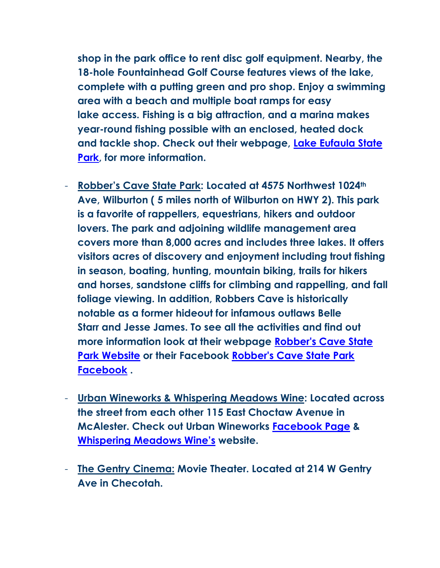**shop in the park office to rent disc golf equipment. Nearby, the 18-hole Fountainhead Golf Course features views of the lake, complete with a putting green and pro shop. Enjoy a swimming area with a beach and multiple boat ramps for easy lake access. Fishing is a big attraction, and a marina makes year-round fishing possible with an enclosed, heated dock and tackle shop. Check out their webpage, [Lake Eufaula State](https://www.travelok.com/state-parks/4336#state-park-menu-tabs)  [Park,](https://www.travelok.com/state-parks/4336#state-park-menu-tabs) for more information.** 

- **Robber's Cave State Park: Located at 4575 Northwest 1024th Ave, Wilburton ( 5 miles north of Wilburton on HWY 2). This park is a favorite of rappellers, equestrians, hikers and outdoor lovers. The park and adjoining wildlife management area covers more than 8,000 acres and includes three lakes. It offers visitors acres of discovery and enjoyment including trout fishing in season, boating, hunting, mountain biking, trails for hikers and horses, sandstone cliffs for climbing and rappelling, and fall foliage viewing. In addition, Robbers Cave is historically notable as a former hideout for infamous outlaws Belle Starr and Jesse James. To see all the activities and find out more information look at their webpage [Robber's Cave State](https://www.travelok.com/state-parks/6415#state-park-menu-tabs)  [Park Website](https://www.travelok.com/state-parks/6415#state-park-menu-tabs) or their Facebook [Robber's Cave State Park](https://www.facebook.com/Robbers-Cave-State-Park-151278822849)  [Facebook](https://www.facebook.com/Robbers-Cave-State-Park-151278822849) .**
- **Urban Wineworks & Whispering Meadows Wine: Located across the street from each other 115 East Choctaw Avenue in McAlester. Check out Urban Wineworks [Facebook Page](https://www.facebook.com/UrbanWineWorks/) & [Whispering Meadows Wine's](http://www.whisperingmeadowswine.com/) website.**
- **The Gentry Cinema: Movie Theater. Located at 214 W Gentry Ave in Checotah.**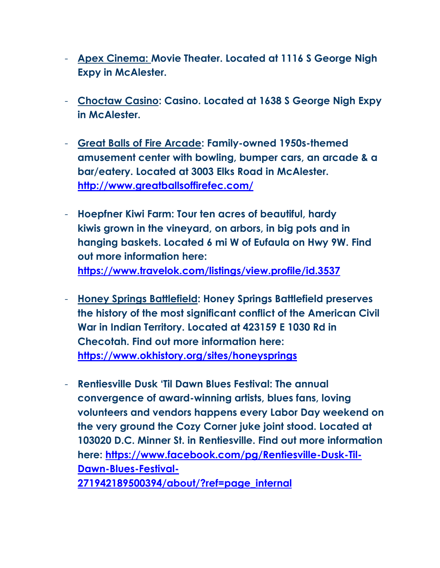- **Apex Cinema: Movie Theater. Located at 1116 S George Nigh Expy in McAlester.**
- **Choctaw Casino: Casino. Located at 1638 S George Nigh Expy in McAlester.**
- **Great Balls of Fire Arcade: Family-owned 1950s-themed amusement center with bowling, bumper cars, an arcade & a bar/eatery. Located at 3003 Elks Road in McAlester. <http://www.greatballsoffirefec.com/>**
- **Hoepfner Kiwi Farm: Tour ten acres of beautiful, hardy kiwis grown in the vineyard, on arbors, in big pots and in hanging baskets. Located 6 mi W of Eufaula on Hwy 9W. Find out more information here: <https://www.travelok.com/listings/view.profile/id.3537>**
- **Honey Springs Battlefield: Honey Springs Battlefield preserves the history of the most significant conflict of the American Civil War in Indian Territory. Located at 423159 E 1030 Rd in Checotah. Find out more information here: <https://www.okhistory.org/sites/honeysprings>**
- **Rentiesville Dusk 'Til Dawn Blues Festival: The annual convergence of award-winning artists, blues fans, loving volunteers and vendors happens every Labor Day weekend on the very ground the Cozy Corner juke joint stood. Located at 103020 D.C. Minner St. in Rentiesville. Find out more information here: [https://www.facebook.com/pg/Rentiesville-Dusk-Til-](https://www.facebook.com/pg/Rentiesville-Dusk-Til-Dawn-Blues-Festival-271942189500394/about/?ref=page_internal)[Dawn-Blues-Festival-](https://www.facebook.com/pg/Rentiesville-Dusk-Til-Dawn-Blues-Festival-271942189500394/about/?ref=page_internal)**

**[271942189500394/about/?ref=page\\_internal](https://www.facebook.com/pg/Rentiesville-Dusk-Til-Dawn-Blues-Festival-271942189500394/about/?ref=page_internal)**